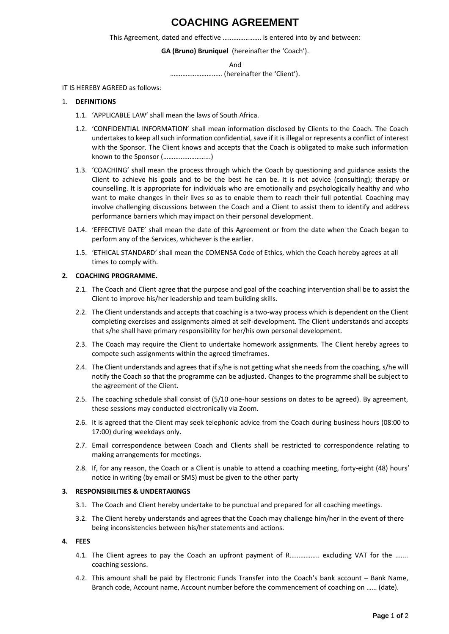# **COACHING AGREEMENT**

This Agreement, dated and effective …………………. is entered into by and between:

### **GA (Bruno) Bruniquel** (hereinafter the 'Coach').

And

………………………… (hereinafter the 'Client').

IT IS HEREBY AGREED as follows:

#### 1. **DEFINITIONS**

- 1.1. 'APPLICABLE LAW' shall mean the laws of South Africa.
- 1.2. 'CONFIDENTIAL INFORMATION' shall mean information disclosed by Clients to the Coach. The Coach undertakes to keep all such information confidential, save if it is illegal or represents a conflict of interest with the Sponsor. The Client knows and accepts that the Coach is obligated to make such information known to the Sponsor (……………………...)
- 1.3. 'COACHING' shall mean the process through which the Coach by questioning and guidance assists the Client to achieve his goals and to be the best he can be. It is not advice (consulting); therapy or counselling. It is appropriate for individuals who are emotionally and psychologically healthy and who want to make changes in their lives so as to enable them to reach their full potential. Coaching may involve challenging discussions between the Coach and a Client to assist them to identify and address performance barriers which may impact on their personal development.
- 1.4. 'EFFECTIVE DATE' shall mean the date of this Agreement or from the date when the Coach began to perform any of the Services, whichever is the earlier.
- 1.5. 'ETHICAL STANDARD' shall mean the COMENSA Code of Ethics, which the Coach hereby agrees at all times to comply with.

#### **2. COACHING PROGRAMME.**

- 2.1. The Coach and Client agree that the purpose and goal of the coaching intervention shall be to assist the Client to improve his/her leadership and team building skills.
- 2.2. The Client understands and accepts that coaching is a two-way process which is dependent on the Client completing exercises and assignments aimed at self-development. The Client understands and accepts that s/he shall have primary responsibility for her/his own personal development.
- 2.3. The Coach may require the Client to undertake homework assignments. The Client hereby agrees to compete such assignments within the agreed timeframes.
- 2.4. The Client understands and agrees that if s/he is not getting what she needs from the coaching, s/he will notify the Coach so that the programme can be adjusted. Changes to the programme shall be subject to the agreement of the Client.
- 2.5. The coaching schedule shall consist of (5/10 one-hour sessions on dates to be agreed). By agreement, these sessions may conducted electronically via Zoom.
- 2.6. It is agreed that the Client may seek telephonic advice from the Coach during business hours (08:00 to 17:00) during weekdays only.
- 2.7. Email correspondence between Coach and Clients shall be restricted to correspondence relating to making arrangements for meetings.
- 2.8. If, for any reason, the Coach or a Client is unable to attend a coaching meeting, forty-eight (48) hours' notice in writing (by email or SMS) must be given to the other party

### **3. RESPONSIBILITIES & UNDERTAKINGS**

- 3.1. The Coach and Client hereby undertake to be punctual and prepared for all coaching meetings.
- 3.2. The Client hereby understands and agrees that the Coach may challenge him/her in the event of there being inconsistencies between his/her statements and actions.

### **4. FEES**

- 4.1. The Client agrees to pay the Coach an upfront payment of R………………. excluding VAT for the ....... coaching sessions.
- 4.2. This amount shall be paid by Electronic Funds Transfer into the Coach's bank account Bank Name, Branch code, Account name, Account number before the commencement of coaching on …… (date).